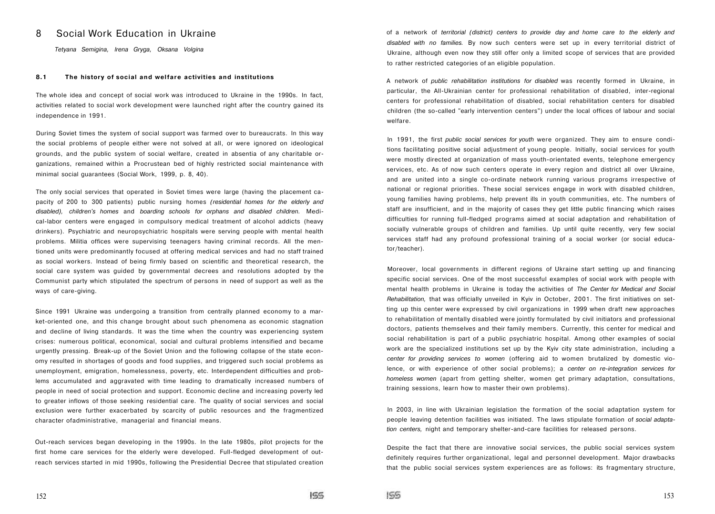## 8 Social Work Education in Ukraine

*Tetyana Semigina, lrena Gryga, Oksana Volgina* 

## **8.1 The history of social and welfare activities and institutions**

The whole idea and concept of social work was introduced to Ukraine in the 1990s. In fact, activities related to social work development were launched right after the country gained its independence in 1991.

During Soviet times the system of social support was farmed over to bureaucrats. In this way the social problems of people either were not solved at all, or were ignored on ideological grounds, and the public system of social welfare, created in absentia of any charitable organizations, remained within a Procrustean bed of highly restricted social maintenance with minimal social guarantees (Social Work, 1999, p. 8, 40).

The only social services that operated in Soviet times were large (having the placement capacity of 200 to 300 patients) public nursing homes *(residential homes for the elderly and disabled), children's homes* and *boarding schools for orphans and disabled children.* Medical-labor centers were engaged in compulsory medical treatment of alcohol addicts (heavy drinkers). Psychiatric and neuropsychiatriс hospitals were serving people with mental health problems. Militia offices were supervising teenagers having criminal records. AII the mentioned units were predominantly focused at offering medical services and had no staff trained as social workers. Instead of being firmly based on scientific and theoretical research, the social care system was guided by governmental decrees and resolutions adopted by the Communist party which stipulated the spectrum of persons in need of support as well as the ways of care-giving.

Since 1991 Ukraine was undergoing a transition from centrally planned economy to a market-oriented one, and this change brought about such phenomena as economic stagnation and decline of living standards. It was the time when the country was experiencing system crises: numerous political, economical, social and cultural problems intensified and became urgently pressing. Break-up of the Soviet Union and the following collapse of the state economy resulted in shortages of goods and food supplies, and triggered such social problems as unemployment, emigration, homelessness, poverty, etc. Interdependent difficulties and problems accumulated and aggravated with time leading to dramatically increased numbers of people in need of social protection and support. Economic decline and increasing poverty led to greater inflows of those seeking residential care. The quality of social services and social exclusion were further exacerbated by scarcity of public resources and the fragmentized character ofadministrative, managerial and financial means.

Out-reach services began developing in the 1990s. In the late 1980s, pilot projects for the first home care services for the elderly were developed. Full-fledged development of outreach services started in mid 1990s, following the Presidential Decree that stipulated creation of a network of *territorial (district) centers to provide day and home care to the elderly and disabled with no families.* By now such centers were set up in every territorial district of Ukraine, although even now they still offer only a limited scope of services that are provided to rather restricted categories of an eligible population.

A network of *public rehabilitation institutions for disabled* was recently formed in Ukraine, in particular, the All-Ukrainian center for professional rehabilitation of disabled, inter-regional centers for professional rehabilitation of disabled, social rehabilitation centers for disabled children (the so-called "early intervention centers") under the local offices of labour and social welfare.

In 1991, the first *public social services for youth* were organized. They aim to ensure conditions facilitating positive social adjustment of young people. Initially, social services for youth were mostly directed at organization of mass youth-orientated events, telephone emergency services, etc. As of now such centers operate in every region and district all over Ukraine, and are united into a single co-ordinate network running various programs irrespective of national or regional priorities. These social services engage in work with disabled children, young families having problems, help prevent ills in youth communities, etc. The numbers of staff are insufficient, and in the majority of cases they get little public financing which raises difficulties for running full-fledged programs aimed at social adaptation and rehabilitation of socially vulnerable groups of children and families. Up until quite recently, very few social services staff had any profound professional training of a social worker (or social educator/teacher).

Moreover, local governments in different regions of Ukraine start setting up and financing specific social services. One of the most successful examples of social work with people with mental health problems in Ukraine is today the activities of *The Center for Medical and Social Rehabilitation,* that was officially unveiled in Kyiv in October, 2001. The first initiatives on setting up this center were expressed by civil organizations in 1999 when draft new approaches to rehabilitation of mentally disabled were jointly formulated by civil initiators and professional doctors, patients themselves and their family members. Currently, this center for medical and social rehabilitation is part of a public psychiatric hospital. Among other examples of social work are the specialized institutions set up by the Kyiv city state administration, including a *center for providing services to women* (offering aid to women brutalized by domestic violence, or with experience of other social problems); a *center on re-integration services for homeless women* (apart from getting shelter, women get primary adaptation, consultations, training sessions, learn how to master their own problems).

In 2003, in line with Ukrainian legislation the formation of the social adaptation system for people leaving detention facilities was initiated. The laws stipulate formation of *social adaptation centers,* night and temporary shelter-and-care facilities for released persons.

Despite the fact that there are innovative social services, the public social services system definitely requires further organizational, legal and personnel development. Major drawbacks that the public social services system experiences are as follows: its fragmentary structure,

 $155$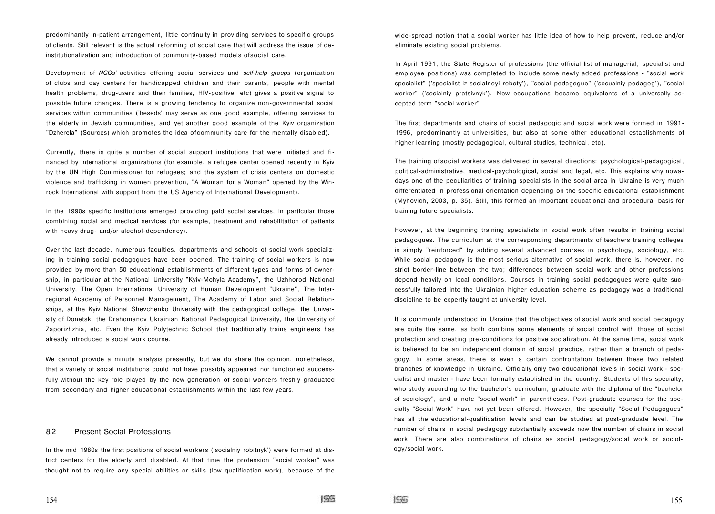predominantly in-patient arrangement, little continuity in providing services to specific groups of clients. Still relevant is the actual reforming of social care that will address the issue of deinstitutionalization and introduction of community-based models ofsocial care.

Development of *NGOs'* activities offering social services and *self-help groups* (organization of clubs and day centers for handicapped children and their parents, people with mental health problems, drug-users and their families, HIV-positive, etc) gives a positive signal to possible future changes. There is a growing tendency to organize non-governmental social services within communities ('heseds' may serve as one good example, offering services to the elderly in Jewish communities, and yet another good example of the Kyiv organization "Dzherela" (Sources) which promotes the idea ofcommunity care for the mentally disabled).

Currently, there is quite a number of social support institutions that were initiated and financed by international organizations (for example, a refugee center opened recently in Kyiv by the UN High Commissioner for refugees; and the system of crisis centers on domestic violence and trafficking in women prevention, "A Woman for a Woman" opened by the Winrock International with support from the US Agency of International Development).

In the 1990s specific institutions emerged providing paid social services, in particular those combining social and medical services (for example, treatment and rehabilitation of patients with heavy drug- and/or alcohol-dependency).

Over the last decade, numerous faculties, departments and schools of social work specializing in training social pedagogues have been opened. The training of social workers is now provided by more than 50 educational establishments of different types and forms of ownership, in particular at the National University "Kyiv-Mohyla Academy", the Uzhhorod National University, The Open International University of Human Development "Ukraine", The Interregional Academy of Personnel Management, The Academy of Labor and Social Relationships, at the Kyiv National Shevchenko University with the pedagogical college, the University of Donetsk, the Drahomanov Ukrainian National Pedagogical University, the University of Zaporizhzhia, etc. Even the Kyiv Polytechnic School that traditionally trains engineers has already introduced a social work course.

We cannot provide a minute analysis presently, but we do share the opinion, nonetheless, that a variety of social institutions could not have possibly appeared nor functioned successfully without the key role played by the new generation of social workers freshly graduated from secondary and higher educational establishments within the last few years.

## 8.2 Present Social Professions

In the mid 1980s the first positions of social workers ('socialniy robitnyk') were formed at district centers for the elderly and disabled. At that time the profession "social worker" was thought not to require any special abilities or skills (low qualification work), because of the wide-spread notion that a social worker has little idea of how to help prevent, reduce and/or eliminate existing social problems.

In April 1991, the State Register of professions (the official list of managerial, specialist and employee positions) was completed to include some newly added professions - "social work specialist" ('specialist іz socialnoyi roboty'), "social pedagogue" ('socualniy pedagog'), "social worker" ('socialniy pratsivnyk'). New occupations became equivalents of a universally accepted term "social worker".

The first departments and chairs of social pedagogic and social work were formed in 1991- 1996, predominantly at universities, but also at some other educational establishments of higher learning (mostly pedagogical, cultural studies, technical, etc).

The training ofsocial workers was delivered in several directions: psychological-pedagogical, political-administrative, medical-psychological, social and legal, etc. This explains why nowadays one of the peculiarities of training specialists in the social area in Ukraine is very much differentiated in professional orientation depending on the specific educational establishment (Myhovich, 2003, p. 35). Still, this formed an important educational and procedural basis for training future specialists.

However, at the beginning training specialists in social work often results in training social pedagogues. The curriculum at the corresponding departments of teachers training colleges is simply "reinforced" by adding several advanced courses in psychology, sociology, etc. While social pedagogy is the most serious alternative of social work, there is, however, no strict border-line between the two; differences between social work and other professions depend heavily on local conditions. Courses in training social pedagogues were quite successfully tailored into the Ukrainian higher education scheme as pedagogy was a traditional discipline to be expertly taught at university level.

It is commonly understood in Ukraine that the objectives of social work and social pedagogy are quite the same, as both combine some elements of social control with those of social protection and creating pre-conditions for positive socialization. At the same time, social work is believed to be an independent domain of social practice, rather than a branch of pedagogy. In some areas, there is even a certain confrontation between these two related branches of knowledge in Ukraine. Officially only two educational levels in social work - specialist and master - have been formally established in the country. Students of this specialty, who study according to the bachelor's curriculum, graduate with the diploma of the "bachelor of sociology", and a note "social work" in parentheses. Post-graduate courses for the specialty "Social Work" have not yet been offered. However, the specialty "Social Pedagogues" has all the educational-qualification levels and can be studied at post-graduate level. The number of chairs in social pedagogy substantially exceeds now the number of chairs in social work. There are also combinations of chairs as social pedagogy/social work or sociology/social work.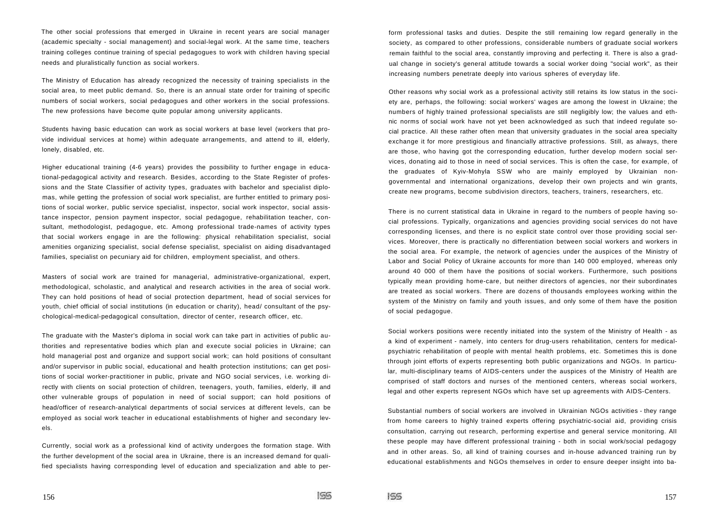The other social professions that emerged in Ukraine in recent years are social manager (academic specialty - social management) and social-legal work. At the same time, teachers training colleges continue training of special pedagogues to work with children having special needs and pluralistically function as social workers.

The Ministry of Education has already recognized the necessity of training specialists in the social area, to meet public demand. So, there is an annual state order for training of specific numbers of social workers, social pedagogues and other workers in the social professions. The new professions have become quite popular among university applicants.

Students having basic education can work as social workers at base level (workers that provide individual services at home) within adequate arrangements, and attend to ill, elderly, lonely, disabled, etc.

Higher educational training (4-6 years) provides the possibility to further engage in educational-pedagogical activity and research. Besides, according to the State Register of professions and the State Classifier of activity types, graduates with bachelor and specialist diplomas, while getting the profession of social work specialist, are further entitled to primary positions of social worker, public service specialist, inspector, social work inspector, social assistance inspector, pension payment inspector, social pedagogue, rehabilitation teacher, consultant, methodologist, pedagogue, etc. Among professional trade-names of activity types that social workers engage in are the following: physical rehabilitation specialist, social amenities organizing specialist, social defense specialist, specialist on aiding disadvantaged families, specialist on pecuniary aid for children, employment specialist, and others.

Masters of social work are trained for managerial, administrative-organizational, expert, methodological, scholastic, and analytical and research activities in the area of social work. They can hold positions of head of social protection department, head of social services for youth, chief official of social institutions (in education or charity), head/ consultant of the psychological-medical-pedagogical consultation, director of center, research officer, etc.

The graduate with the Master's diploma in social work can take part in activities of public authorities and representative bodies which plan and execute social policies in Ukraine; can hold managerial post and organize and support social work; can hold positions of consultant and/or supervisor in public social, educational and health protection institutions; can get positions of social worker-practitioner in public, private and NGO social services, i.e. working directly with clients on social protection of children, teenagers, youth, families, elderly, ill and other vulnerable groups of population in need of social support; can hold positions of head/officer of research-analytical departments of social services at different levels, can be employed as social work teacher in educational establishments of higher and secondary levels.

Currently, social work as a professional kind of activity undergoes the formation stage. With the further development of the social area in Ukraine, there is an increased demand for qualified specialists having corresponding level of education and specialization and able to perform professional tasks and duties. Despite the still remaining low regard generally in the society, as compared to other professions, considerable numbers of graduate social workers remain faithful to the social area, constantly improving and perfecting it. There is also a gradual change in society's general attitude towards a social worker doing "social work", as their increasing numbers penetrate deeply into various spheres of everyday life.

Other reasons why social work as a professional activity still retains its low status in the society are, perhaps, the following: social workers' wages are among the lowest in Ukraine; the numbers of highly trained professional specialists are still negligibly low; the values and ethnic norms of social work have not yet been acknowledged as such that indeed regulate social practice. AII these rather often mean that university graduates in the social area specialty exchange it for more prestigious and financially attractive professions. Still, as always, there are those, who having got the corresponding education, further develop modern social services, donating aid to those in need of social services. This is often the case, for example, of the graduates of Kyiv-Mohyla SSW who are mainly employed by Ukrainian nongovernmental and international organizations, develop their own projects and win grants, create new programs, become subdivision directors, teachers, trainers, researchers, etc.

There is no current statistical data in Ukraine in regard to the numbers of people having social professions. Typically, organizations and agencies providing social services do not have corresponding licenses, and there is no explicit state control over those providing social services. Moreover, there is practically no differentiation between social workers and workers in the social area. For example, the network of agencies under the auspices of the Ministry of Labor and Social Policy of Ukraine accounts for more than 140 000 employed, whereas only around 40 000 of them have the positions of social workers. Furthermore, such positions typically mean providing home-care, but neither directors of agencies, nor their subordinates are treated as social workers. There are dozens of thousands employees working within the system of the Ministry on family and youth issues, and only some of them have the position of social pedagogue.

Social workers positions were recently initiated into the system of the Ministry of Health - as a kind of experiment - namely, into centers for drug-users rehabilitation, centers for medicalpsychiatric rehabilitation of people with mental health problems, etc. Sometimes this is done through joint efforts of experts representing both public organizations and NGOs. In particular, multi-disciplinary teams of AIDS-centers under the auspices of the Ministry of Health are comprised of staff doctors and nurses of the mentioned centers, whereas social workers, legal and other experts represent NGOs which have set up agreements with AIDS-Centers.

Substantial numbers of social workers are involved in Ukrainian NGOs activities - they range from home careers to highly trained experts offering psychiatric-social aid, providing crisis consultation, carrying out research, performing expertise and general service monitoring. AII these people may have different professional training - both in social work/social pedagogy and in other areas. So, all kind of training courses and in-house advanced training run by educational establishments and NGOs themselves in order to ensure deeper insight into ba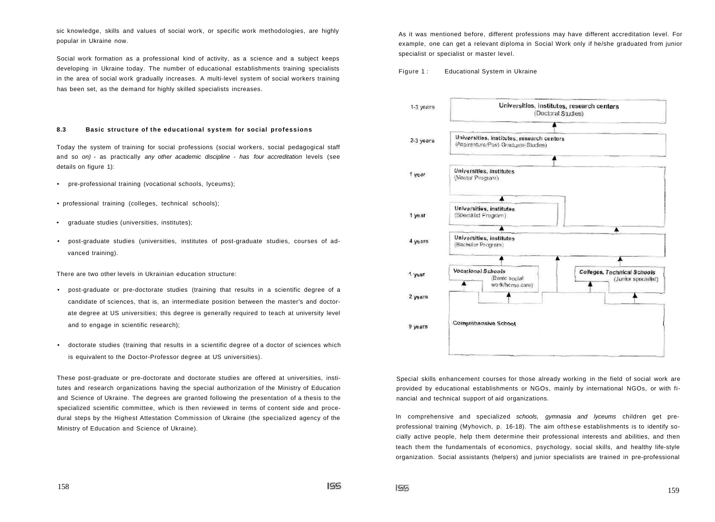sic knowledge, skills and values of social work, or specific work methodologies, are highly popular in Ukraine now.

Social work formation as a professional kind of activity, as a science and a subject keeps developing in Ukraine today. The number of educational establishments training specialists in the area of social work gradually increases. A multi-level system of social workers training has been set, as the demand for highly skilled specialists increases.

## **8.3 Basic structure of the educational system for social professions**

Today the system of training for social professions (social workers, social pedagogical staff and so on) - as practically any other academic discipline - has four accreditation levels (see details on figure 1):

- pre-professional training (vocational schools, lyceums);
- professional training (colleges, technical schools);
- graduate studies (universities, institutes);
- post-graduate studies (universities, institutes of post-graduate studies, courses of advanced training).

There are two other levels in Ukrainian education structure:

- post-graduate or pre-doctorate studies (training that results in a scientific degree of a candidate of sciences, that is, an intermediate position between the master's and doctorate degree at US universities; this degree is generally required to teach at university level and to engage in scientific research);
- doctorate studies (training that results in a scientific degree of a doctor of sciences which is equivalent to the Doctor-Professor degree at US universities).

These post-graduate or pre-doctorate and doctorate studies are offered at universities, institutes and research organizations having the special authorization of the Ministry of Education and Science of Ukraine. The degrees are granted following the presentation of a thesis to the specialized scientific committee, which is then reviewed in terms of content side and procedural steps by the Highest Attestation Commission of Ukraine (the specialized agency of the Ministry of Education and Science of Ukraine).

As it was mentioned before, different professions may have different accreditation level. For example, one can get a relevant diploma in Social Work only if he/she graduated from junior specialist or specialist or master level.

## Figure 1: Educational System in Ukraine



Special skills enhancement courses for those already working in the field of social work are provided by educational establishments or NGOs, mainly by international NGOs, or with financial and technical support of aid organizations.

In comprehensive and specialized schools, gymnasia and lyceums children get preprofessional training (Myhovich, p. 16-18). The aim ofthese establishments is to identify socially active people, help them determine their professional interests and abilities, and then teach them the fundamentals of economics, psychology, social skills, and healthy life-style organization. Social assistants (helpers) and junior specialists are trained in pre-professional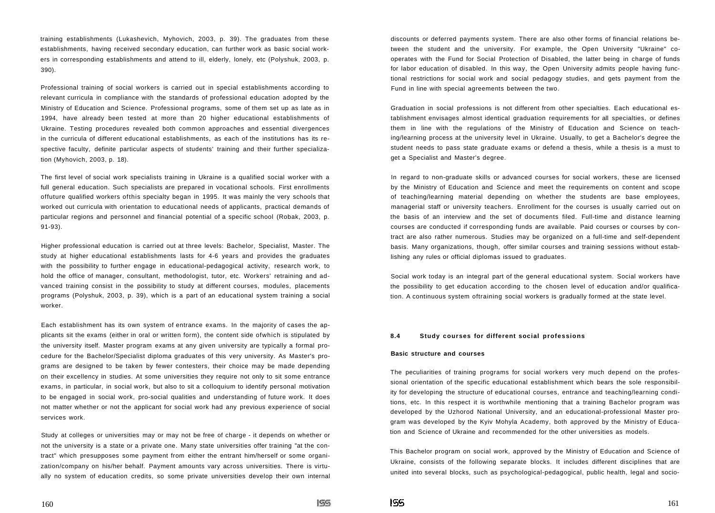training establishments (Lukashevich, Myhovich, 2003, p. 39). The graduates from these establishments, having received secondary education, can further work as basic social workers in corresponding establishments and attend to ill, elderly, lonely, etc (Polyshuk, 2003, p. 390).

Professional training of social workers is carried out in special establishments according to relevant curricula in compliance with the standards of professional education adopted by the Ministry of Education and Science. Professional programs, some of them set up as late as in 1994, have already been tested at more than 20 higher educational establishments of Ukraine. Testing procedures revealed both common approaches and essential divergences in the curricula of different educational establishments, as each of the institutions has its respective faculty, definite particular aspects of students' training and their further specialization (Myhovich, 2003, p. 18).

The first level of social work specialists training in Ukraine is a qualified social worker with a full general education. Such specialists are prepared in vocational schools. First enrollments offuture qualified workers ofthis specialty began in 1995. It was mainly the very schools that worked out curricula with orientation to educational needs of applicants, practical demands of particular regions and personnel and financial potential of a specific school (Robak, 2003, p. 91-93).

Higher professional education is carried out at three levels: Bachelor, Specialist, Master. The study at higher educational establishments lasts for 4-6 years and provides the graduates with the possibility to further engage in educational-pedagogical activity, research work, to hold the office of manager, consultant, methodologist, tutor, etc. Workers' retraining and advanced training consist in the possibility to study at different courses, modules, placements programs (Polyshuk, 2003, p. 39), which is a part of an educational system training a social worker.

Each establishment has its own system of entrance exams. In the majority of cases the applicants sit the exams (either in oral or written form), the content side ofwhich is stipulated by the university itself. Master program exams at any given university are typically a formal procedure for the Bachelor/Specialist diploma graduates of this very university. As Master's programs are designed to be taken by fewer contesters, their choice may be made depending on their excellency in studies. At some universities they require not only to sit some entrance exams, in particular, in social work, but also to sit a colloquium to identify personal motivation to be engaged in social work, pro-social qualities and understanding of future work. It does not matter whether or not the applicant for social work had any previous experience of social services work.

Study at colleges or universities may or may not be free of charge - it depends on whether or not the university is a state or a private one. Many state universities offer training "at the contract" which presupposes some payment from either the entrant him/herself or some organization/company on his/her behalf. Payment amounts vary across universities. There is virtually no system of education credits, so some private universities develop their own internal discounts or deferred payments system. There are also other forms of financial relations between the student and the university. For example, the Open University "Ukraine" cooperates with the Fund for Social Protection of Disabled, the latter being in charge of funds for labor education of disabled. In this way, the Open University admits people having functional restrictions for social work and social pedagogy studies, and gets payment from the Fund in line with special agreements between the two.

Graduation in social professions is not different from other specialties. Each educational establishment envisages almost identical graduation requirements for all specialties, or defines them in line with the regulations of the Ministry of Education and Science on teaching/learning process at the university level in Ukraine. Usually, to get a Bachelor's degree the student needs to pass state graduate exams or defend a thesis, while a thesis is a must to get a Specialist and Master's degree.

In regard to non-graduate skills or advanced courses for social workers, these are licensed by the Ministry of Education and Science and meet the requirements on content and scope of teaching/learning material depending on whether the students are base employees, managerial staff or university teachers. Enrollment for the courses is usually carried out on the basis of an interview and the set of documents filed. Full-time and distance learning courses are conducted if corresponding funds are available. Paid courses or courses by contract are also rather numerous. Studies may be organized on a full-time and self-dependent basis. Many organizations, though, offer similar courses and training sessions without establishing any rules or official diplomas issued to graduates.

Social work today is an integral part of the general educational system. Social workers have the possibility to get education according to the chosen level of education and/or qualification. A continuous system oftraining social workers is gradually formed at the state level.

## **8.4 Study courses for different social professions**

#### **Basic structure and courses**

The peculiarities of training programs for social workers very much depend on the professional orientation of the specific educational establishment which bears the sole responsibility for developing the structure of educational courses, entrance and teaching/learning conditions, etc. In this respect it is worthwhile mentioning that a training Bachelor program was developed by the Uzhorod National University, and an educational-professional Master program was developed by the Kyiv Mohyla Academy, both approved by the Ministry of Education and Science of Ukraine and recommended for the other universities as models.

This Bachelor program on social work, approved by the Ministry of Education and Science of Ukraine, consists of the following separate blocks. It includes different disciplines that are united into several blocks, such as psychological-pedagogical, public health, legal and socio-

155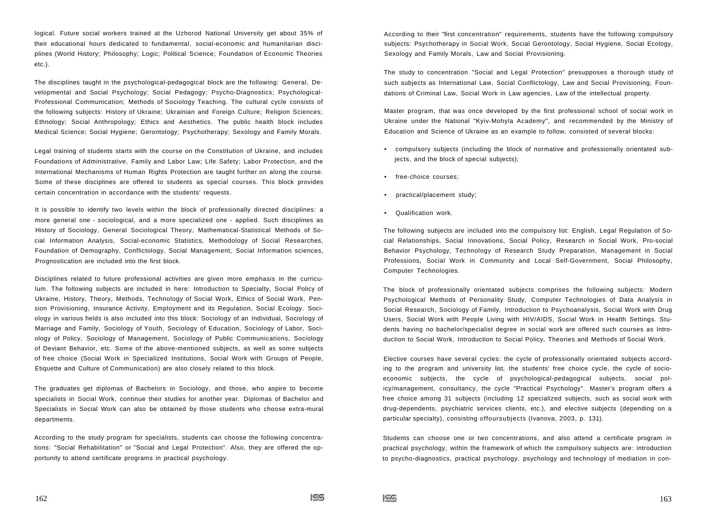logical. Future social workers trained at the Uzhorod National University get about 35% of their educational hours dedicated to fundamental, social-economic and humanitarian disciplines (World History; Philosophy; Logic; Political Science; Foundation of Economic Theories etc.).

The disciplines taught in the psychological-pedagogical block are the following: General, Developmental and Social Psychology; Social Pedagogy; Psycho-Diagnostics; Psychological-Professional Communication; Methods of Sociology Teaching. The cultural cycle consists of the following subjects: History of Ukraine; Ukrainian and Foreign Culture; Religion Sciences; Ethnology; Social Anthropology; Ethics and Aesthetics. The public health block includes Medical Science; Social Hygiene; Gerontology; Psychotherapy; Sexology and Family Morals.

Legal training of students starts with the course on the Constitution of Ukraine, and includes Foundations of Administrative, Family and Labor Law; Life Safety; Labor Protection, and the International Mechanisms of Human Rights Protection are taught further on along the course. Some of these disciplines are offered to students as special courses. This block provides certain concentration in accordance with the students' requests.

It is possible to identify two levels within the block of professionally directed disciplines: a more general one - sociological, and a more specialized one - applied. Such disciplines as History of Sociology, General Sociological Theory, Mathematical-Statistical Methods of Social Information Analysis, Social-economic Statistics, Methodology of Social Researches, Foundation of Demography, Conflictology, Social Management, Social Information sciences, Prognostication are included into the first block.

Disciplines related to future professional activities are given more emphasis in the curriculum. The following subjects are included in here: Introduction to Specialty, Social Policy of Ukraine, History, Theory, Methods, Technology of Social Work, Ethics of Social Work, Pension Provisioning, Insurance Activity, Employment and its Regulation, Social Ecology. Sociology in various fields is also included into this block: Sociology of an Individual, Sociology of Marriage and Family, Sociology of Youth, Sociology of Education, Sociology of Labor, Sociology of Policy, Sociology of Management, Sociology of Public Communications, Sociology of Deviant Behavior, etc. Some of the above-mentioned subjects, as well as some subjects of free choice (Social Work in Specialized Institutions, Social Work with Groups of People, Etiquette and Culture of Communication) are also closely related to this block.

The graduates get diplomas of Bachelors in Sociology, and those, who aspire to become specialists in Social Work, continue their studies for another year. Diplomas of Bachelor and Specialists in Social Work can also be obtained by those students who choose extra-mural departments.

According to the study program for specialists, students can choose the following concentrations: "Social Rehabilitation" or "Social and Legal Protection". Also, they are offered the opportunity to attend certificate programs in practical psychology.

According to their "first concentration" requirements, students have the following compulsory subjects: Psychotherapy in Social Work, Social Gerontology, Social Hygiene, Social Ecology, Sexology and Family Morals, Law and Social Provisioning.

The study to concentration "Social and Legal Protection" presupposes a thorough study of such subjects as International Law, Social Conflictology, Law and Social Provisioning, Foundations of Criminal Law, Social Work in Law agencies, Law of the intellectual property.

Master program, that was once developed by the first professional school of social work in Ukraine under the National "Kyiv-Mohyla Academy", and recommended by the Ministry of Education and Science of Ukraine as an example to follow, consisted of several blocks:

- compulsory subjects (including the block of normative and professionally orientated subjects, and the block of special subjects);
- free-choice courses;
- practical/placement study;
- Qualification work.

The following subjects are included into the compulsory list: English, Legal Regulation of Social Relationships, Social Innovations, Social Policy, Research in Social Work, Pro-social Behavior Psychology, Technology of Research Study Preparation, Management in Social Professions, Social Work in Community and Local Self-Government, Social Philosophy, Computer Technologies.

The block of professionally orientated subjects comprises the following subjects: Modern Psychological Methods of Personality Study, Computer Technologies of Data Analysis in Social Research, Sociology of Family, Introduction to Psychoanalysis, Social Work with Drug Users, Social Work with People Living with HIV/AIDS, Social Work in Health Settings. Students having no bachelor/specialist degree in social work are offered such courses as Introduction to Social Work, Introduction to Social Policy, Theories and Methods of Social Work.

Elective courses have several cycles: the cycle of professionally orientated subjects according to the program and university list, the students' free choice cycle, the cycle of socioeconomic subjects, the cycle of psychological-pedagogical subjects, social policy/management, consultancy, the cycle "Practical Psychology". Master's program offers a free choice among 31 subjects (including 12 specialized subjects, such as social work with drug-dependents, psychiatric services clients, etc.), and elective subjects (depending on a particular specialty), consisting offoursubjects (Ivanova, 2003, p. 131).

Students can choose one or two concentrations, and also attend a certificate program in practical psychology, within the framework of which the compulsory subjects are: introduction to psycho-diagnostics, practical psychology, psychology and technology of mediation in con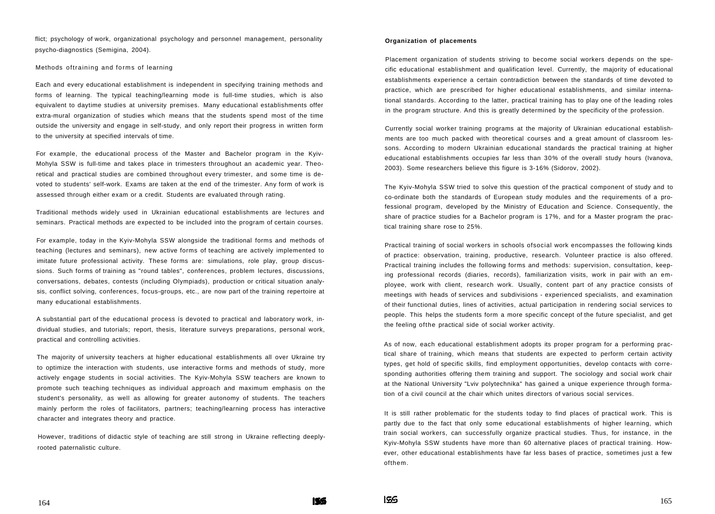flict; psychology of work, organizational psychology and personnel management, personality psycho-diagnostics (Semigina, 2004).

#### Methods oftraining and forms of learning

Each and every educational establishment is independent in specifying training methods and forms of learning. The typical teaching/learning mode is full-time studies, which is also equivalent to daytime studies at university premises. Many educational establishments offer extra-mural organization of studies which means that the students spend most of the time outside the university and engage in self-study, and only report their progress in written form to the university at specified intervals of time.

For example, the educational process of the Master and Bachelor program in the Kyiv-Mohyla SSW is full-time and takes place in trimesters throughout an academic year. Theoretical and practical studies are combined throughout every trimester, and some time is devoted to students' self-work. Exams are taken at the end of the trimester. Any form of work is assessed through either exam or a credit. Students are evaluated through rating.

Traditional methods widely used in Ukrainian educational establishments are lectures and seminars. Practical methods are expected to be included into the program of certain courses.

For example, today in the Kyiv-Mohyla SSW alongside the traditional forms and methods of teaching (lectures and seminars), new active forms of teaching are actively implemented to imitate future professional activity. These forms are: simulations, role play, group discussions. Such forms of training as "round tables", conferences, problem lectures, discussions, conversations, debates, contests (including Olympiads), production or critical situation analysis, conflict solving, conferences, focus-groups, etc., are now part of the training repertoire at many educational establishments.

A substantial part of the educational process ís devoted to practical and laboratory work, individual studies, and tutorials; report, thesis, literature surveys preparations, personal work, practical and controlling activities.

The majority of university teachers at higher educational establishments all over Ukraine try to optimize the interaction with students, use interactive forms and methods of study, more actively engage students in social activities. The Kyiv-Mohyla SSW teachers are known to promote such teaching techniques as individual approach and maximum emphasis on the student's personality, as well as allowing for greater autonomy of students. The teachers mainly perform the roles of facilitators, partners; teaching/learning process has interactive character and integrates theory and practice.

However, traditions of didactic style of teaching are still strong in Ukraine reflecting deeplyrooted paternalistic culture.

## **Organization of placements**

Placement organization of students striving to become social workers depends on the specific educational establishment and qualification level. Currently, the majority of educational establishments experience a certain contradiction between the standards of time devoted to practice, which are prescribed for higher educational establishments, and similar international standards. According to the latter, practical training has to play one of the leading roles in the program structure. And this is greatly determined by the specificity of the profession.

Currently social worker training programs at the majority of Ukrainian educational establishments are too much packed with theoretical courses and a great amount of classroom lessons. According to modern Ukrainian educational standards the practical training at higher educational establishments occupies far less than 30% of the overall study hours (Ivanova, 2003). Some researchers believe this figure is 3-16% (Sidorov, 2002).

The Kyiv-Mohyla SSW tried to solve this question of the practical component of study and to co-ordinate both the standards of European study modules and the requirements of a professional program, developed by the Ministry of Education and Science. Consequently, the share of practice studies for a Bachelor program is 17%, and for a Master program the practical training share rose to 25%.

Practical training of social workers in schools ofsocial work encompasses the following kinds of practice: observation, training, productive, research. Volunteer practice is also offered. Practical training includes the following forms and methods: supervision, consultation, keeping professional records (diaries, records), familiarization visits, work in pair with an employee, work with client, research work. Usually, content part of any practice consists of meetings with heads of services and subdivisions - experienced specialists, and examination of their functional duties, lines of activities, actual participation in rendering social services to people. This helps the students form a more specific concept of the future specialist, and get the feeling ofthe practical side of social worker activity.

As of now, each educational establishment adopts its proper program for a performing practical share of training, which means that students are expected to perform certain activity types, get hold of specific skills, find employment opportunities, develop contacts with corresponding authorities offering them training and support. The sociology and social work chair at the National University "Lviv polytechnika" has gained a unique experience through formation of a civil council at the chair which unites directors of various social services.

It is still rather problematic for the students today to find places of practical work. This is partly due to the fact that only some educational establishments of higher learning, which train social workers, can successfully organize practical studies. Thus, for instance, in the Kyiv-Mohyla SSW students have more than 60 alternative places of practical training. However, other educational establishments have far less bases of practice, sometimes just a few ofthem.

**ISS** 

156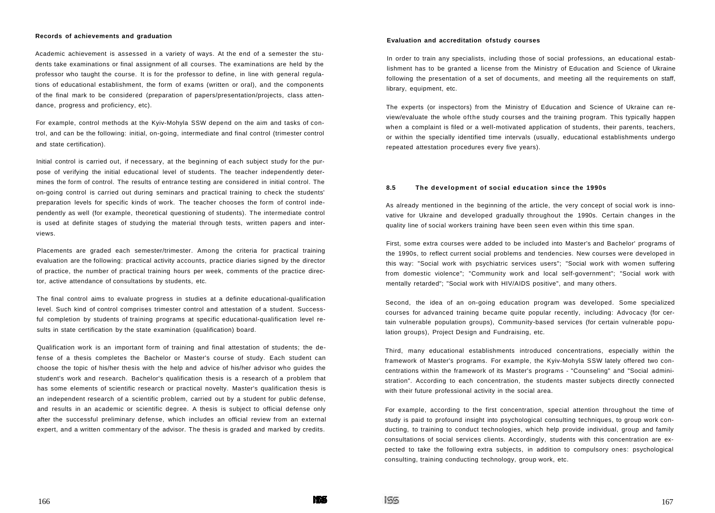#### **Records of achievements and graduation**

Academic achievement is assessed in a variety of ways. At the end of a semester the students take examinations or final assignment of all courses. The examinations are held by the professor who taught the course. It is for the professor to define, in line with general regulations of educational establishment, the form of exams (written or oral), and the components of the final mark to be considered (preparation of papers/presentation/projects, class attendance, progress and proficiency, etc).

For example, control methods at the Kyiv-Mohyla SSW depend on the aim and tasks of control, and can be the following: initial, on-going, intermediate and final control (trimester control and state certification).

Initial control is carried out, if necessary, at the beginning of each subject study for the purpose of verifying the initial educational level of students. The teacher independently determines the form of control. The results of entrance testing are considered in initial control. The on-going control is carried out during seminars and practical training to check the students' preparation levels for specific kinds of work. The teacher chooses the form of control independently as well (for example, theoretical questioning of students). The intermediate control is used at definite stages of studying the material through tests, written papers and interviews.

Placements are graded each semester/trimester. Among the criteria for practical training evaluation are the following: practical activity accounts, practice diaries signed by the director of practice, the number of practical training hours per week, comments of the practice director, active attendance of consultations by students, etc.

The final control aims to evaluate progress in studies at a definite educational-qualification level. Such kind of control comprises trimester control and attestation of a student. Successful completion by students of training programs at specific educational-qualification level results in state certification by the state examination (qualification) board.

Qualification work is an important form of training and final attestation of students; the defense of a thesis completes the Bachelor or Master's course of study. Each student can choose the topic of his/her thesis with the help and advice of his/her advisor who guides the student's work and research. Bachelor's qualification thesis is a research of a problem that has some elements of scientific research or practical novelty. Master's qualification thesis is an independent research of a scientific problem, carried out by a student for public defense, and results in an academic or scientific degree. A thesis is subject to official defense only after the successful preliminary defense, which includes an official review from an external expert, and a written commentary of the advisor. The thesis is graded and marked by credits.

## **Evaluation and accreditation ofstudy courses**

In order to train any specialists, including those of social professions, an educational establishment has to be granted a license from the Ministry of Education and Science of Ukraine following the presentation of a set of documents, and meeting all the requirements on staff, library, equipment, etc.

The experts (or inspectors) from the Ministry of Education and Science of Ukraine can review/evaluate the whole ofthe study courses and the training program. This typically happen when a complaint is filed or a well-motivated application of students, their parents, teachers, or within the specially identified time intervals (usually, educational establishments undergo repeated attestation procedures every five years).

## **8.5 The development of social education since the 1990s**

As already mentioned in the beginning of the article, the very concept of social work is innovative for Ukraine and developed gradually throughout the 1990s. Certain changes in the quality line of social workers training have been seen even within this time span.

First, some extra courses were added to be included into Master's and Bachelor' programs of the 1990s, to reflect current social problems and tendencies. New courses were developed in this way: "Social work with psychiatric services users"; "Social work with women suffering from domestic violence"; "Community work and local self-government"; "Social work with mentally retarded"; "Social work with HIV/AIDS positive", and many others.

Second, the idea of an on-going education program was developed. Some specialized courses for advanced training became quite popular recently, including: Advocacy (for certain vulnerable population groups), Community-based services (for certain vulnerable population groups), Project Design and Fundraising, etc.

Third, many educational establishments introduced concentrations, especially within the framework of Master's programs. For example, the Kyiv-Mohyla SSW lately offered two concentrations within the framework of its Master's programs - "Counseling" and "Social administration". According to each concentration, the students master subjects directly connected with their future professional activity in the social area.

For example, according to the first concentration, special attention throughout the time of study is paid to profound insight into psychological consulting techniques, to group work conducting, to training to conduct technologies, which help provide individual, group and family consultations of social services clients. Accordingly, students with this concentration are expected to take the following extra subjects, in addition to compulsory ones: psychological consulting, training conducting technology, group work, etc.

 $155$ 

**MEAR**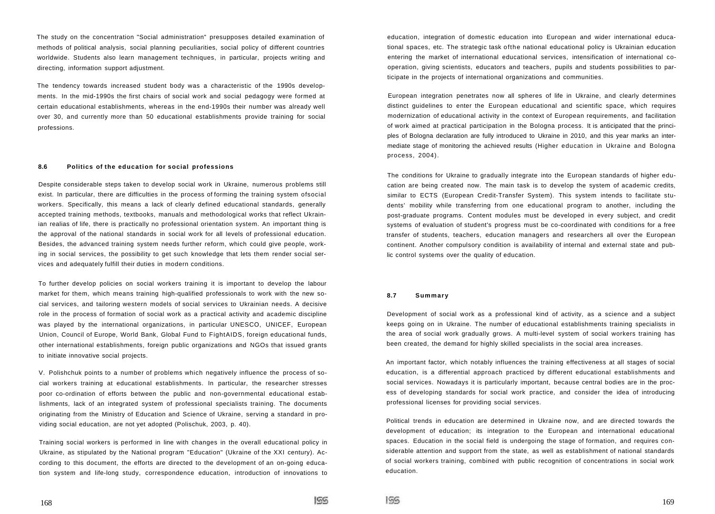The study on the concentration "Social administration" presupposes detailed examination of methods of political analysis, social planning peculiarities, social policy of different countries worldwide. Students also learn management techniques, in particular, projects writing and directing, information support adjustment.

The tendency towards increased student body was a characteristic of the 1990s developments. In the mid-1990s the first chairs of social work and social pedagogy were formed at certain educational establishments, whereas in the end-1990s their number was already well over 30, and currently more than 50 educational establishments provide training for social professions.

## **8.6 Politics of the education for social professions**

Despite considerable steps taken to develop social work in Ukraine, numerous problems still exist. In particular, there are difficulties in the process of forming the training system ofsocial workers. Specifically, this means a lack of clearly defined educational standards, generally accepted training methods, textbooks, manuals and methodological works that reflect Ukrainian realias of life, there is practically no professional orientation system. An important thing is the approval of the national standards in social work for all levels of professional education. Besides, the advanced training system needs further reform, which could give people, working in social services, the possibility to get such knowledge that lets them render social services and adequately fulfill their duties in modern conditions.

To further develop policies on social workers training it is important to develop the labour market for them, which means training high-qualified professionals to work with the new social services, and tailoring western models of social services to Ukrainian needs. A decisive role in the process of formation of social work as a practical activity and academic discipline was played by the international organizations, in particular UNESCO, UNICEF, European Union, Council of Europe, World Bank, Global Fund to FightAIDS, foreign educational funds, other international establishments, foreign public organizations and NGOs that issued grants to initiate innovative social projects.

V. Polishchuk points to a number of problems which negatively influence the process of social workers training at educational establishments. In particular, the researcher stresses poor co-ordination of efforts between the public and non-governmental educational establishments, lack of an integrated system of professional specialists training. The documents originating from the Ministry of Education and Science of Ukraine, serving a standard in providing social education, are not yet adopted (Polischuk, 2003, p. 40).

Training social workers is performed in line with changes in the overall educational policy in Ukraine, as stipulated by the National program "Education" (Ukraine of the XXI century). According to this document, the efforts are directed to the development of an on-going education system and life-long study, correspondence education, introduction of innovations to

education, integration of domestic education into European and wider international educational spaces, etc. The strategic task ofthe national educational policy is Ukrainian education entering the market of international educational services, intensification of international cooperation, giving scientists, educators and teachers, pupils and students possibilities to participate in the projects of international organizations and communities.

European integration penetrates now all spheres of life in Ukraine, and clearly determines distinct guidelines to enter the European educational and scientific space, which requires modernization of educational activity in the context of European requirements, and facilitation of work aimed at practical participation in the Bologna process. It is anticipated that the principles of Bologna declaration are fully introduced to Ukraine in 2010, and this year marks an intermediate stage of monitoring the achieved results (Higher education in Ukraine and Bologna process, 2004).

The conditions for Ukraine to gradually integrate into the European standards of higher education are being created now. The main task is to develop the system of academic credits, similar to ECTS (European Credit-Transfer System). This system intends to facilitate students' mobility while transferring from one educational program to another, including the post-graduate programs. Content modules must be developed in every subject, and credit systems of evaluation of student's progress must be co-coordinated with conditions for a free transfer of students, teachers, education managers and researchers all over the European continent. Another compulsory condition is availability of internal and external state and public control systems over the quality of education.

## **8.7 Summary**

Development of social work as a professional kind of activity, as a science and a subject keeps going on in Ukraine. The number of educational establishments training specialists in the area of social work gradually grows. A multi-level system of social workers training has been created, the demand for highly skilled specialists in the social area increases.

An important factor, which notably influences the training effectiveness at all stages of social education, is a differential approach practiced by different educational establishments and social services. Nowadays it is particularly important, because central bodies are in the process of developing standards for social work practice, and consider the idea of introducing professional licenses for providing social services.

Political trends in education are determined in Ukraine now, and are directed towards the development of education; its integration to the European and international educational spaces. Education in the social field is undergoing the stage of formation, and requires considerable attention and support from the state, as well as establishment of national standards of social workers training, combined with public recognition of concentrations in social work education.